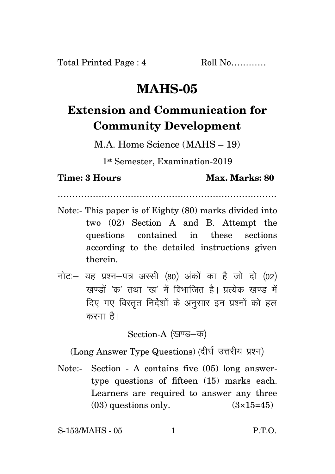## **MAHS-05**

## **Extension and Communication for Community Development**

M.A. Home Science (MAHS – 19)

1 st Semester, Examination-2019

…………………………………………………………………

**Time: 3 Hours Max. Marks: 80** 

- Note:- This paper is of Eighty (80) marks divided into two (02) Section A and B. Attempt the questions contained in these sections according to the detailed instructions given therein.
- नोट: यह प्रश्न-पत्र अस्सी (80) अंकों का है जो दो (02) खण्डों 'क' तथा 'ख' में विभाजित है। प्रत्येक खण्ड में दिए गए विस्तुत निर्देशों के अनुसार इन प्रश्नों को हल करना है।

Section-A (खण्ड-क)

(Long Answer Type Questions) (दीर्घ उत्तरीय प्रश्न)

Note:- Section - A contains five (05) long answertype questions of fifteen (15) marks each. Learners are required to answer any three  $(03)$  questions only.  $(3\times15=45)$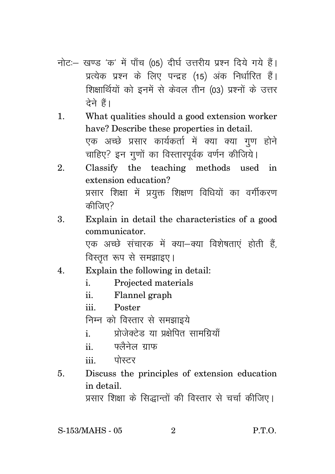- नोट:- खण्ड 'क' में पाँच (05) दीर्घ उत्तरीय प्रश्न दिये गये हैं। प्रत्येक प्रश्न के लिए पन्द्रह (15) अंक निर्धारित हैं। शिक्षार्थियों को इनमें से केवल तीन (03) प्रश्नों के उत्तर टेने हैं।
- What qualities should a good extension worker  $\mathbf{1}$ . have? Describe these properties in detail. एक अच्छे प्रसार कार्यकर्ता में क्या क्या गण होने चाहिए? इन गुणों का विस्तारपूर्वक वर्णन कीजिये।
- Classify the teaching methods used  $\mathfrak{D}$  $\mathbf{in}$ extension education? प्रसार शिक्षा में प्रयुक्त शिक्षण विधियों का वर्गीकरण कीजिए?
- Explain in detail the characteristics of a good  $\mathbf{R}$ communicator.

एक अच्छे संचारक में क्या–क्या विशेषताएं होती हैं. विस्तृत रूप से समझाइए।

- Explain the following in detail:  $\overline{4}$ .
	- Projected materials  $\mathbf{i}$
	- $ii$ Flannel graph
	- iii Poster

निम्न को विस्तार से समझाइये

- प्रोजेक्टेड या प्रक्षेपित सामग्रियाँ  $\mathbf{i}$
- फ्लैनेल गाफ  $\ddot{\mathbf{i}}$

पोस्टर  $\ddot{\mathbf{m}}$ 

Discuss the principles of extension education 5. in detail.

प्रसार शिक्षा के सिद्धान्तों की विस्तार से चर्चा कीजिए।

S-153/MAHS - 05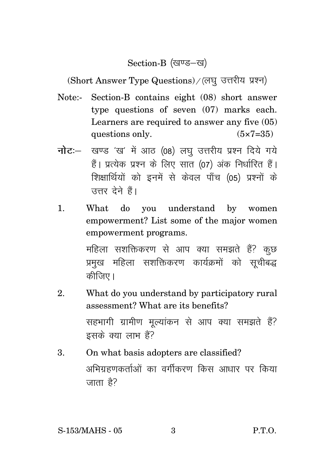Section-B (खण्ड-ख)

(Short Answer Type Questions) / (लघु उत्तरीय प्रश्न)

- Note:- Section-B contains eight (08) short answer type questions of seven (07) marks each. Learners are required to answer any five (05) questions only.  $(5 \times 7 = 35)$
- **नोट**: खण्ड 'ख' में आठ (08) लघु उत्तरीय प्रश्न दिये गये हैं। प्रत्येक प्रश्न के लिए सात (07) अंक निर्धारित हैं। शिक्षार्थियों को इनमें से केवल पाँच (05) प्रश्नों के उत्तर देने हैं।
- 1. What do you understand by women empowerment? List some of the major women empowerment programs.

महिला सशक्तिकरण से आप क्या समझते हैं? कुछ प्रमुख महिला सशक्तिकरण कार्यक्रमों को सूचीबद्ध कीजिए।

- 2. What do you understand by participatory rural assessment? What are its benefits? सहभागी ग्रामीण मुल्यांकन से आप क्या समझते हैं? इसके क्या लाभ हैं?
- 3. On what basis adopters are classified? अभिग्रहणकर्ताओं का वर्गीकरण किस आधार पर किया जाता है?